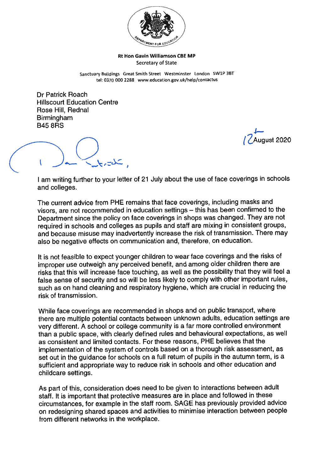

## Rt Hon Gavin Williamson CBE MI' Secretary of State

Sanctuary Buildings Great Smith Street Westminster London SW1P 3BT tel: 0370 000 2288 wwweducation.gov.uk/help/contactus

Dr Patrick Roach Hiliscourt Education Centre Rose Hill, Rednal Birmingham B45 8RS

Luqust 2020

<sup>I</sup> am writing further to your letter of <sup>21</sup> July about the use of face coverings in schools and colleges.

The current advice from PHE remains that face coverings, including masks and visors, are not recommended in education settings — this has been confirmed to the Department since the policy on face coverings in shops was changed. They are not required in schools and colleges as pupils and staff are mixing in consistent groups, and because misuse may inadvertently increase the risk of transmission. There may also be negative effects on communication and, therefore, on education.

It is not feasible to expec<sup>t</sup> younger children to wear face coverings and the risks of improper use outweigh any perceived benefit, and among older children there are risks that this will increase face touching, as well as the possibility that they will feel <sup>a</sup> false sense of security and so will be less likely to comply with other important rules, such as on hand cleaning and respiratory hygiene, which are crucial in reducing the risk of transmission.

While face coverings are recommended in shops and on public transport, where there are multiple potential contacts between unknown adults, education settings are very different. <sup>A</sup> school or college community is <sup>a</sup> far more controlled environment than <sup>a</sup> public space, with clearly defined rules and behavioural expectations, as well as consistent and limited contacts. For these reasons, PHE believes that the implementation of the system of controls based on <sup>a</sup> thorough risk assessment, as set out in the guidance for schools on <sup>a</sup> full return of pupils in the autumn term, is <sup>a</sup> sufficient and appropriate way to reduce risk in schools and other education and childcare settings.

As par<sup>t</sup> of this, consideration does need to be <sup>g</sup>iven to interactions between adult staff. It is important that protective measures are in <sup>p</sup>lace and followed in these circumstances, for example in the staff room. SAGE has previously provided advice on redesigning shared spaces and activities to minimise interaction between people from different networks in the workplace.